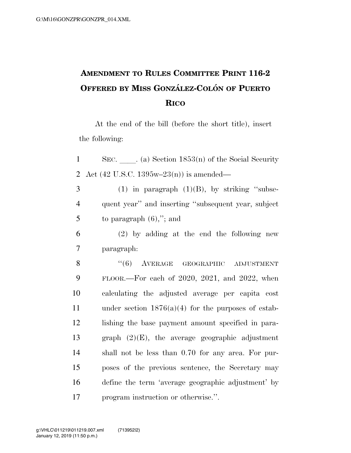## **AMENDMENT TO RULES COMMITTEE PRINT 116-2 OFFERED BY MISS GONZA´ LEZ-COLO´ N OF PUERTO RICO**

At the end of the bill (before the short title), insert the following:

1 SEC. (a) Section  $1853(n)$  of the Social Security Act (42 U.S.C. 1395w–23(n)) is amended— (1) in paragraph (1)(B), by striking "subse- quent year'' and inserting ''subsequent year, subject 5 to paragraph  $(6)$ ,"; and (2) by adding at the end the following new paragraph: 8 "(6) AVERAGE GEOGRAPHIC ADJUSTMENT FLOOR.—For each of 2020, 2021, and 2022, when calculating the adjusted average per capita cost under section 1876(a)(4) for the purposes of estab- lishing the base payment amount specified in para- graph (2)(E), the average geographic adjustment shall not be less than 0.70 for any area. For pur- poses of the previous sentence, the Secretary may define the term 'average geographic adjustment' by program instruction or otherwise.''.